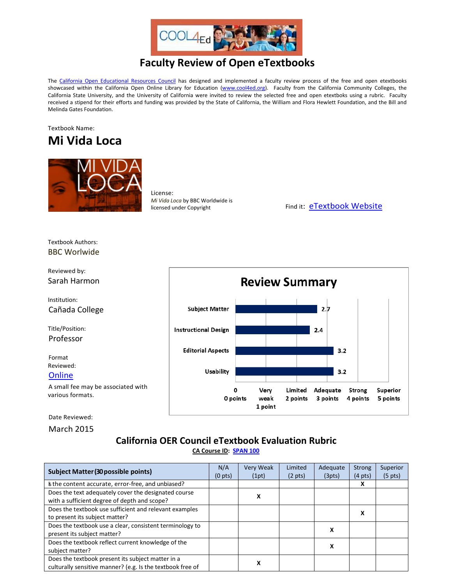

## **Faculty Review of Open eTextbooks**

The [California Open Educational Resources Council](http://icas-ca.org/coerc) has designed and implemented a faculty review process of the free and open etextbooks showcased within the California Open Online Library for Education [\(www.cool4ed.org\)](http://www.cool4ed.org/). Faculty from the California Community Colleges, the California State University, and the University of California were invited to review the selected free and open etextboks using a rubric. Faculty received a stipend for their efforts and funding was provided by the State of California, the William and Flora Hewlett Foundation, and the Bill and Melinda Gates Foundation.





License: *Mi Vida Loca* by BBC Worldwide is

licensed under Copyright Find it: [eTextbook Website](http://www.bbc.co.uk/languages/spanish/mividaloca/full_details.shtml)

Textbook Authors: BBC Worlwide

Reviewed by:

Institution:

Title/Position: Professor

Format Reviewed: **[Online](http://www.bbc.co.uk/languages/spanish/mividaloca/full_details.shtml)** 



Date Reviewed:

March 2015

## **California OER Council eTextbook Evaluation Rubric**

**[CA Course ID:](https://c-id.net/about.html) [SPAN 100](https://c-id.net/descriptor_details.html?descriptor=408&submitbtn=Go)**

| <b>Subject Matter (30 possible points)</b><br>s the content accurate, error-free, and unbiased?                 |  | Very Weak<br>(1pt) | Limited<br>$(2 \text{ pts})$ | Adequate<br>(3pts) | <b>Strong</b><br>$(4 \text{ pts})$ | Superior<br>$(5 \text{ pts})$ |
|-----------------------------------------------------------------------------------------------------------------|--|--------------------|------------------------------|--------------------|------------------------------------|-------------------------------|
|                                                                                                                 |  |                    |                              |                    | x                                  |                               |
| Does the text adequately cover the designated course<br>with a sufficient degree of depth and scope?            |  | x                  |                              |                    |                                    |                               |
| Does the textbook use sufficient and relevant examples<br>to present its subject matter?                        |  |                    |                              |                    | x                                  |                               |
| Does the textbook use a clear, consistent terminology to<br>present its subject matter?                         |  |                    |                              | х                  |                                    |                               |
| Does the textbook reflect current knowledge of the<br>subject matter?                                           |  |                    |                              | x                  |                                    |                               |
| Does the textbook present its subject matter in a<br>culturally sensitive manner? (e.g. Is the textbook free of |  | x                  |                              |                    |                                    |                               |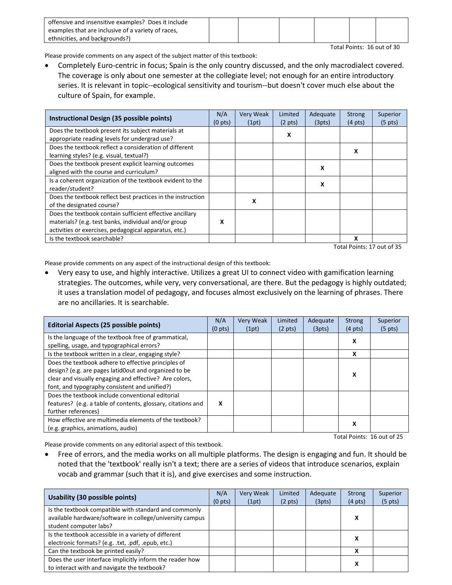| offensive and insensitive examples? Does it include |  |  |  |
|-----------------------------------------------------|--|--|--|
| examples that are inclusive of a variety of races,  |  |  |  |
| ethnicities, and backgrounds?)                      |  |  |  |

Total Points: 16 out of 30

Please provide comments on any aspect of the subject matter of this textbook:

• Completely Euro-centric in focus; Spain is the only country discussed, and the only macrodialect covered. The coverage is only about one semester at the collegiate level; not enough for an entire introductory series. It is relevant in topic--ecological sensitivity and tourism--but doesn't cover much else about the culture of Spain, for example.

| Instructional Design (35 possible points)                   | N/A<br>(0 <sub>pts</sub> ) | <b>Very Weak</b><br>(1pt) | Limited<br>$(2 \text{ pts})$ | Adequate<br>(3pts) | <b>Strong</b><br>$(4 \text{ pts})$ | Superior<br>$(5 \text{ pts})$ |
|-------------------------------------------------------------|----------------------------|---------------------------|------------------------------|--------------------|------------------------------------|-------------------------------|
| Does the textbook present its subject materials at          |                            |                           | x                            |                    |                                    |                               |
| appropriate reading levels for undergrad use?               |                            |                           |                              |                    |                                    |                               |
| Does the textbook reflect a consideration of different      |                            |                           |                              |                    | x                                  |                               |
| learning styles? (e.g. visual, textual?)                    |                            |                           |                              |                    |                                    |                               |
| Does the textbook present explicit learning outcomes        |                            |                           |                              | x                  |                                    |                               |
| aligned with the course and curriculum?                     |                            |                           |                              |                    |                                    |                               |
| Is a coherent organization of the textbook evident to the   |                            |                           |                              | x                  |                                    |                               |
| reader/student?                                             |                            |                           |                              |                    |                                    |                               |
| Does the textbook reflect best practices in the instruction | x                          |                           |                              |                    |                                    |                               |
| of the designated course?                                   |                            |                           |                              |                    |                                    |                               |
| Does the textbook contain sufficient effective ancillary    |                            |                           |                              |                    |                                    |                               |
| materials? (e.g. test banks, individual and/or group        | x                          |                           |                              |                    |                                    |                               |
| activities or exercises, pedagogical apparatus, etc.)       |                            |                           |                              |                    |                                    |                               |
| Is the textbook searchable?                                 |                            |                           |                              |                    | x                                  |                               |

Total Points: 17 out of 35

Please provide comments on any aspect of the instructional design of this textbook:

• Very easy to use, and highly interactive. Utilizes a great UI to connect video with gamification learning strategies. The outcomes, while very, very conversational, are there. But the pedagogy is highly outdated; it uses a translation model of pedagogy, and focuses almost exclusively on the learning of phrases. There are no ancillaries. It is searchable.

| Editorial Aspects (25 possible points)                                                                                                                                                                                                                                                                                                                             |   | <b>Very Weak</b><br>(1pt) | Limited<br>$(2 \text{ pts})$ | Adequate<br>(3pts) | Strong<br>$(4 \text{ pts})$ | Superior<br>$(5 \text{ pts})$ |
|--------------------------------------------------------------------------------------------------------------------------------------------------------------------------------------------------------------------------------------------------------------------------------------------------------------------------------------------------------------------|---|---------------------------|------------------------------|--------------------|-----------------------------|-------------------------------|
| Is the language of the textbook free of grammatical,<br>spelling, usage, and typographical errors?                                                                                                                                                                                                                                                                 |   |                           |                              |                    | x                           |                               |
| Is the textbook written in a clear, engaging style?                                                                                                                                                                                                                                                                                                                |   |                           |                              |                    | x                           |                               |
| Does the textbook adhere to effective principles of<br>design? (e.g. are pages latid0out and organized to be<br>clear and visually engaging and effective? Are colors,<br>font, and typography consistent and unified?)<br>Does the textbook include conventional editorial<br>features? (e.g. a table of contents, glossary, citations and<br>further references) | X |                           |                              |                    | x                           |                               |
| How effective are multimedia elements of the textbook?<br>(e.g. graphics, animations, audio)                                                                                                                                                                                                                                                                       |   |                           |                              |                    | х                           |                               |

Total Points: 16 out of 25

Please provide comments on any editorial aspect of this textbook.

• Free of errors, and the media works on all multiple platforms. The design is engaging and fun. It should be noted that the 'textbook' really isn't a text; there are a series of videos that introduce scenarios, explain vocab and grammar (such that it is), and give exercises and some instruction.

| Usability (30 possible points)                                                                                                              | N/A<br>(0 <sub>pts</sub> ) | <b>Very Weak</b><br>(1pt) | Limited<br>$(2 \text{ pts})$ | Adequate<br>(3pts) | Strong<br>$(4 \text{ pts})$ | Superior<br>$(5 \text{ pts})$ |
|---------------------------------------------------------------------------------------------------------------------------------------------|----------------------------|---------------------------|------------------------------|--------------------|-----------------------------|-------------------------------|
| Is the textbook compatible with standard and commonly<br>available hardware/software in college/university campus<br>student computer labs? |                            |                           |                              |                    | Χ                           |                               |
| Is the textbook accessible in a variety of different<br>electronic formats? (e.g. .txt, .pdf, .epub, etc.)                                  |                            |                           |                              |                    | х                           |                               |
| Can the textbook be printed easily?                                                                                                         |                            |                           |                              |                    | χ                           |                               |
| Does the user interface implicitly inform the reader how<br>to interact with and navigate the textbook?                                     |                            |                           |                              |                    | x                           |                               |